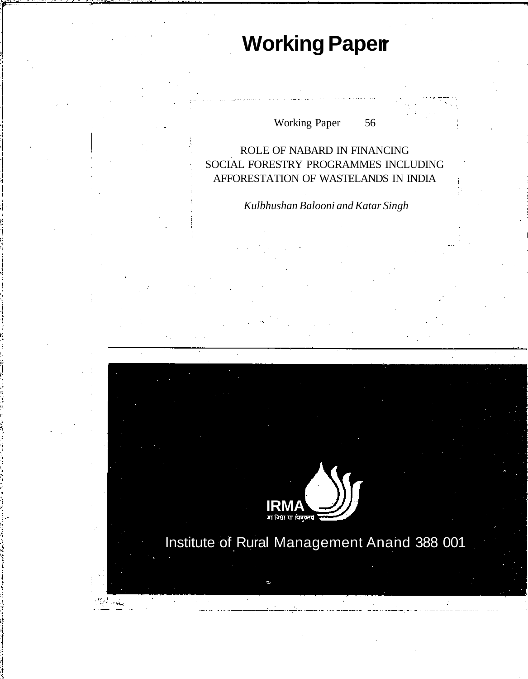# **Working Paper**

# Working Paper 56

# ROLE OF NABARD IN FINANCING SOCIAL FORESTRY PROGRAMMES INCLUDING AFFORESTATION OF WASTELANDS IN INDIA

*Kulbhushan Balooni and Katar Singh*

.<br><u>मा</u> विधा या विषुक्लवे

 $\mathbb{Z}^{\mathbb{Z}}$ 

Institute of Rural Management Anand 388 001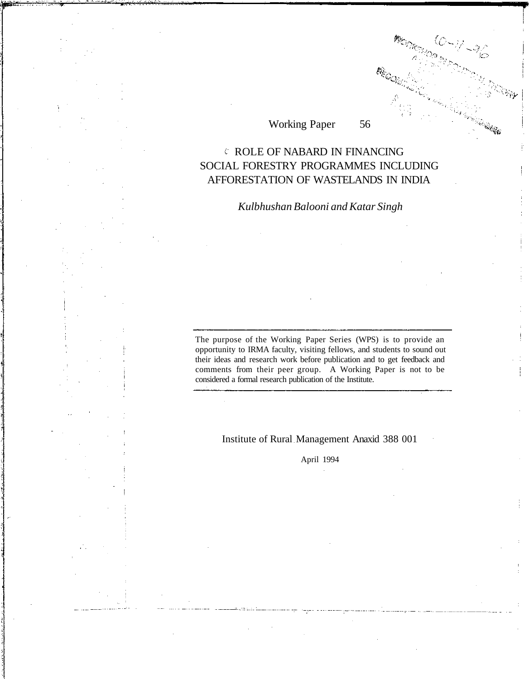# Working Paper 56

# ROLE OF NABARD IN FINANCING SOCIAL FORESTRY PROGRAMMES INCLUDING AFFORESTATION OF WASTELANDS IN INDIA

# *Kulbhushan Balooni and Katar Singh*

The purpose of the Working Paper Series (WPS) is to provide an opportunity to IRMA faculty, visiting fellows, and students to sound out their ideas and research work before publication and to get feedback and comments from their peer group. A Working Paper is not to be considered a formal research publication of the Institute.

#### Institute of Rural Management Anaxid 388 001

April 1994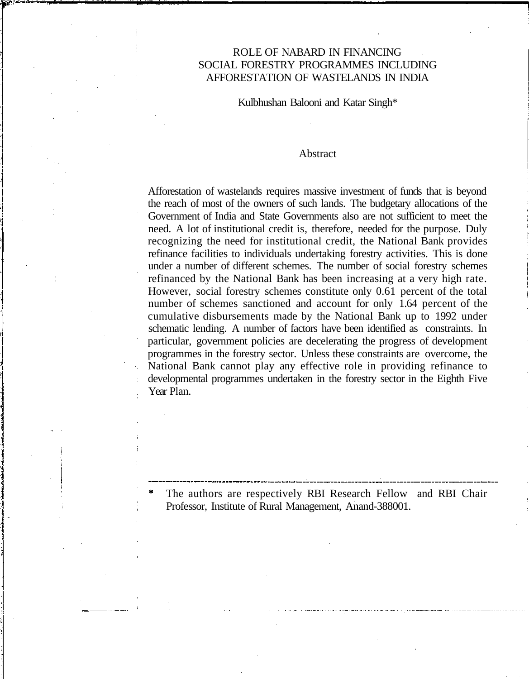## ROLE OF NABARD IN FINANCING SOCIAL FORESTRY PROGRAMMES INCLUDING AFFORESTATION OF WASTELANDS IN INDIA

Kulbhushan Balooni and Katar Singh\*

#### Abstract

Afforestation of wastelands requires massive investment of funds that is beyond the reach of most of the owners of such lands. The budgetary allocations of the Government of India and State Governments also are not sufficient to meet the need. A lot of institutional credit is, therefore, needed for the purpose. Duly recognizing the need for institutional credit, the National Bank provides refinance facilities to individuals undertaking forestry activities. This is done under a number of different schemes. The number of social forestry schemes refinanced by the National Bank has been increasing at a very high rate. However, social forestry schemes constitute only 0.61 percent of the total number of schemes sanctioned and account for only 1.64 percent of the cumulative disbursements made by the National Bank up to 1992 under schematic lending. A number of factors have been identified as constraints. In particular, government policies are decelerating the progress of development programmes in the forestry sector. Unless these constraints are overcome, the National Bank cannot play any effective role in providing refinance to developmental programmes undertaken in the forestry sector in the Eighth Five Year Plan.

The authors are respectively RBI Research Fellow and RBI Chair Professor, Institute of Rural Management, Anand-388001.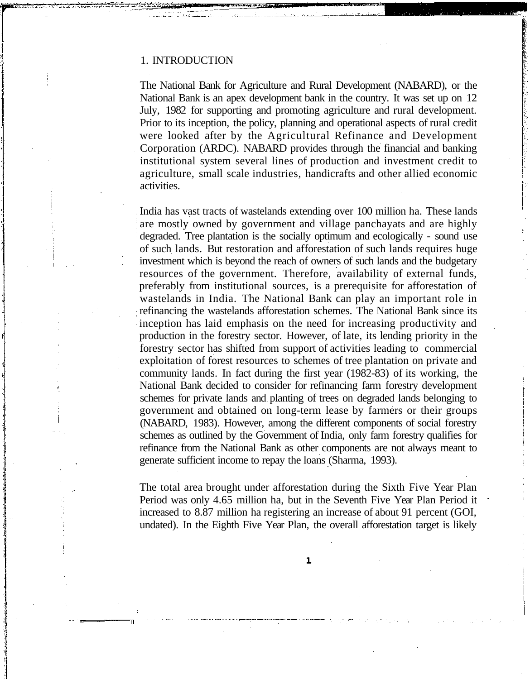#### 1. INTRODUCTION

The National Bank for Agriculture and Rural Development (NABARD), or the National Bank is an apex development bank in the country. It was set up on 12 July, 1982 for supporting and promoting agriculture and rural development. Prior to its inception, the policy, planning and operational aspects of rural credit were looked after by the Agricultural Refinance and Development Corporation (ARDC). NABARD provides through the financial and banking institutional system several lines of production and investment credit to agriculture, small scale industries, handicrafts and other allied economic activities.

India has vast tracts of wastelands extending over 100 million ha. These lands are mostly owned by government and village panchayats and are highly degraded. Tree plantation is the socially optimum and ecologically - sound use of such lands. But restoration and afforestation of such lands requires huge investment which is beyond the reach of owners of such lands and the budgetary resources of the government. Therefore, availability of external funds, preferably from institutional sources, is a prerequisite for afforestation of wastelands in India. The National Bank can play an important role in refinancing the wastelands afforestation schemes. The National Bank since its inception has laid emphasis on the need for increasing productivity and production in the forestry sector. However, of late, its lending priority in the forestry sector has shifted from support of activities leading to commercial exploitation of forest resources to schemes of tree plantation on private and community lands. In fact during the first year (1982-83) of its working, the National Bank decided to consider for refinancing farm forestry development schemes for private lands and planting of trees on degraded lands belonging to government and obtained on long-term lease by farmers or their groups (NABARD, 1983). However, among the different components of social forestry schemes as outlined by the Government of India, only farm forestry qualifies for refinance from the National Bank as other components are not always meant to generate sufficient income to repay the loans (Sharma, 1993).

The total area brought under afforestation during the Sixth Five Year Plan Period was only 4.65 million ha, but in the Seventh Five Year Plan Period it increased to 8.87 million ha registering an increase of about 91 percent (GOI, undated). In the Eighth Five Year Plan, the overall afforestation target is likely

 $\mathbf{1}$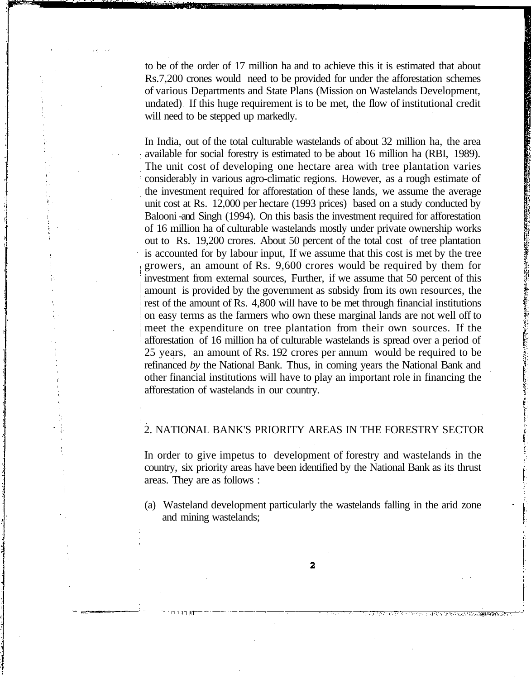to be of the order of 17 million ha and to achieve this it is estimated that about Rs.7,200 crones would need to be provided for under the afforestation schemes of various Departments and State Plans (Mission on Wastelands Development, undated) If this huge requirement is to be met, the flow of institutional credit will need to be stepped up markedly.

In India, out of the total culturable wastelands of about 32 million ha, the area available for social forestry is estimated to be about 16 million ha (RBI, 1989). The unit cost of developing one hectare area with tree plantation varies considerably in various agro-climatic regions. However, as a rough estimate of the investment required for afforestation of these lands, we assume the average unit cost at Rs. 12,000 per hectare (1993 prices) based on a study conducted by Balooni -and Singh (1994). On this basis the investment required for afforestation of 16 million ha of culturable wastelands mostly under private ownership works out to Rs. 19,200 crores. About 50 percent of the total cost of tree plantation is accounted for by labour input, If we assume that this cost is met by the tree growers, an amount of Rs. 9,600 crores would be required by them for investment from external sources, Further, if we assume that 50 percent of this amount is provided by the government as subsidy from its own resources, the rest of the amount of Rs. 4,800 will have to be met through financial institutions on easy terms as the farmers who own these marginal lands are not well off to meet the expenditure on tree plantation from their own sources. If the afforestation of 16 million ha of culturable wastelands is spread over a period of 25 years, an amount of Rs. 192 crores per annum would be required to be refinanced *by* the National Bank. Thus, in coming years the National Bank and other financial institutions will have to play an important role in financing the afforestation of wastelands in our country.

#### 2. NATIONAL BANK'S PRIORITY AREAS IN THE FORESTRY SECTOR

In order to give impetus to development of forestry and wastelands in the country, six priority areas have been identified by the National Bank as its thrust areas. They are as follows :

(a) Wasteland development particularly the wastelands falling in the arid zone and mining wastelands;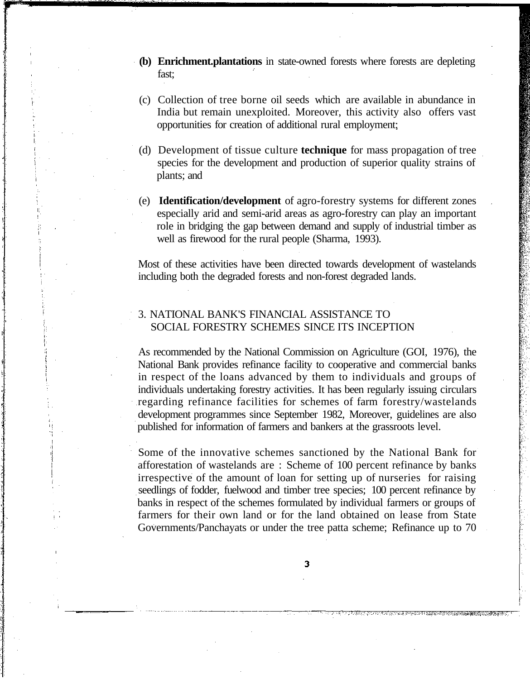- **(b) Enrichment.plantations** in state-owned forests where forests are depleting fast;
- (c) Collection of tree borne oil seeds which are available in abundance in India but remain unexploited. Moreover, this activity also offers vast opportunities for creation of additional rural employment:
- (d) Development of tissue culture **technique** for mass propagation of tree species for the development and production of superior quality strains of plants; and
- (e) **Identification/development** of agro-forestry systems for different zones especially arid and semi-arid areas as agro-forestry can play an important role in bridging the gap between demand and supply of industrial timber as well as firewood for the rural people (Sharma, 1993).

Most of these activities have been directed towards development of wastelands including both the degraded forests and non-forest degraded lands.

## 3. NATIONAL BANK'S FINANCIAL ASSISTANCE TO SOCIAL FORESTRY SCHEMES SINCE ITS INCEPTION

As recommended by the National Commission on Agriculture (GOI, 1976), the National Bank provides refinance facility to cooperative and commercial banks in respect of the loans advanced by them to individuals and groups of individuals undertaking forestry activities. It has been regularly issuing circulars regarding refinance facilities for schemes of farm forestry/wastelands development programmes since September 1982, Moreover, guidelines are also published for information of farmers and bankers at the grassroots level.

Some of the innovative schemes sanctioned by the National Bank for afforestation of wastelands are : Scheme of 100 percent refinance by banks irrespective of the amount of loan for setting up of nurseries for raising seedlings of fodder, fuelwood and timber tree species; 100 percent refinance by banks in respect of the schemes formulated by individual farmers or groups of farmers for their own land or for the land obtained on lease from State Governments/Panchayats or under the tree patta scheme; Refinance up to 70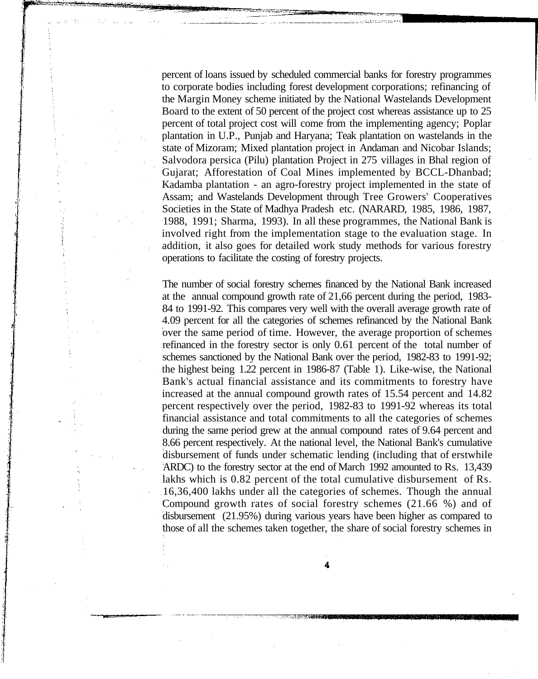percent of loans issued by scheduled commercial banks for forestry programmes to corporate bodies including forest development corporations; refinancing of the Margin Money scheme initiated by the National Wastelands Development Board to the extent of 50 percent of the project cost whereas assistance up to 25 percent of total project cost will come from the implementing agency; Poplar plantation in U.P., Punjab and Haryana; Teak plantation on wastelands in the state of Mizoram; Mixed plantation project in Andaman and Nicobar Islands; Salvodora persica (Pilu) plantation Project in 275 villages in Bhal region of Gujarat; Afforestation of Coal Mines implemented by BCCL-Dhanbad; Kadamba plantation - an agro-forestry project implemented in the state of Assam; and Wastelands Development through Tree Growers' Cooperatives Societies in the State of Madhya Pradesh etc. (NARARD, 1985, 1986, 1987, 1988, 1991; Sharma, 1993). In all these programmes, the National Bank is involved right from the implementation stage to the evaluation stage. In addition, it also goes for detailed work study methods for various forestry operations to facilitate the costing of forestry projects.

The number of social forestry schemes financed by the National Bank increased at the annual compound growth rate of 21,66 percent during the period, 1983- 84 to 1991-92. This compares very well with the overall average growth rate of 4.09 percent for all the categories of schemes refinanced by the National Bank over the same period of time. However, the average proportion of schemes refinanced in the forestry sector is only 0.61 percent of the total number of schemes sanctioned by the National Bank over the period, 1982-83 to 1991-92; the highest being 1.22 percent in 1986-87 (Table 1). Like-wise, the National Bank's actual financial assistance and its commitments to forestry have increased at the annual compound growth rates of 15.54 percent and 14.82 percent respectively over the period, 1982-83 to 1991-92 whereas its total financial assistance and total commitments to all the categories of schemes during the same period grew at the annual compound rates of 9.64 percent and 8.66 percent respectively. At the national level, the National Bank's cumulative disbursement of funds under schematic lending (including that of erstwhile ARDC) to the forestry sector at the end of March 1992 amounted to Rs. 13,439 lakhs which is 0.82 percent of the total cumulative disbursement of Rs. 16,36,400 lakhs under all the categories of schemes. Though the annual Compound growth rates of social forestry schemes (21.66 %) and of disbursement (21.95%) during various years have been higher as compared to those of all the schemes taken together, the share of social forestry schemes in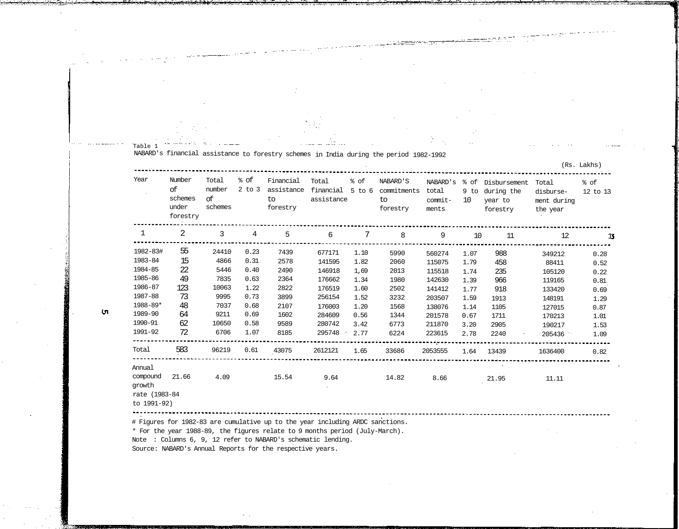| Year                                               | Number<br>ο£<br>schemes<br>under<br>forestry | Total<br>number<br>οf<br>schemes | <sub>ै</sub> of<br>$2$ to $3$ | Financial<br>to<br>forestry | Total<br>assistance | % of        | NABARD'S<br>assistance financial 5 to 6 commitments<br>to<br>forestry | total<br>commit-<br>ments   | 10   | NABARD's % of Disbursement<br>9 to during the<br>year to<br>forestry | Total<br>disburse-<br>ment during<br>the year | % of<br>12 to 13 |
|----------------------------------------------------|----------------------------------------------|----------------------------------|-------------------------------|-----------------------------|---------------------|-------------|-----------------------------------------------------------------------|-----------------------------|------|----------------------------------------------------------------------|-----------------------------------------------|------------------|
| $\mathbf{1}$                                       | 2                                            | $\overline{3}$<br>---------      | $\overline{4}$                | $5^{\circ}$                 | 6                   | $7^{\circ}$ | 8                                                                     | 9                           | 10   | 11                                                                   | 12                                            | 13               |
| 1982-83#                                           | 55                                           | 24410                            | 0.23                          | 7439                        | 677171              | 1.10        | 5990                                                                  | -----------------<br>560274 | 1.07 | 988                                                                  | 349212                                        | 0.28             |
| 1983-84                                            | 15                                           | 4866                             | 0.31                          | 2578                        | 141595              | 1.82        | 2060                                                                  | 115075                      | 1.79 | 458                                                                  | 88411                                         | 0.52             |
| 1984-85                                            | 22                                           | 5446                             | 0.40                          | 2490                        | 146918              | 1,69        | 2013                                                                  | 115518                      | 1.74 | 235                                                                  | 105120                                        | 0.22             |
| 1985-86                                            | 49                                           | 7835                             | 0.63                          | 2364                        | 176662              | 1.34        | 1980                                                                  | 142630                      | 1.39 | 966                                                                  | 119165                                        | 0.81             |
| 1986-87                                            | 123                                          | 10063                            | 1.22                          | 2822                        | 176519              | 1.60        | 2502                                                                  | 141412                      | 1.77 | 918                                                                  | 133420                                        | 0.69             |
| 1987-88                                            | 73                                           | 9995                             | 0.73                          | 3899                        | 256154              | 1.52        | 3232                                                                  | 203507                      | 1.59 | 1913                                                                 | 148191                                        | 1.29             |
| 1988-89*                                           | 48                                           | 7037                             | 0.68                          | 2107                        | 176003              | 1.20        | 1568                                                                  | 138076                      | 1.14 | 1105                                                                 | 127015                                        | 0.87             |
| 1989-90                                            | 64                                           | 9211                             | 0.69                          | 1602                        | 284609              | 0.56        | 1344                                                                  | 201578                      | 0.67 | 1711                                                                 | 170213                                        | 1.01             |
| 1990-91                                            | 62                                           | 10650                            | 0.58                          | 9589                        | 280742              | 3.42        | 6773                                                                  | 211870                      | 3.20 | 2905                                                                 | 190217                                        | 1.53             |
| 1991-92                                            | 72<br><b></b>                                | 6706                             | 1.07                          | 8185                        | 295748              | 2.77        | 6224                                                                  | 223615                      | 2.78 | 2240                                                                 | 205436                                        | 1.09             |
| Total                                              | 583                                          | 96219                            | 0.61                          | 43075                       | 2612121             | 1.65        | 33686                                                                 | 2053555                     | 1.64 | 13439                                                                | 1636400                                       | 0.82             |
| Annual                                             |                                              |                                  |                               |                             |                     |             |                                                                       |                             |      | $\sim$                                                               |                                               |                  |
| compound<br>growth<br>rate (1983-84<br>to 1991-92) | 21.66                                        | 4.09                             |                               | 15.54                       | 9.64                |             | 14.82                                                                 | 8.66                        |      | 21.95                                                                | 11.11                                         |                  |

 $-2$ 

<u>Li diversar monitari</u>

# Figures for 1982-83 are cumulative up to the year including ARDC sanctions.

\* For the year 1988-89, the figures relate to 9 months period (July-March).

Note : Columns 6, 9, 12 refer to NABARD's schematic lending.

Source: NABARD's Annual Reports for the respective years.

Table 1

**u** 

Ω.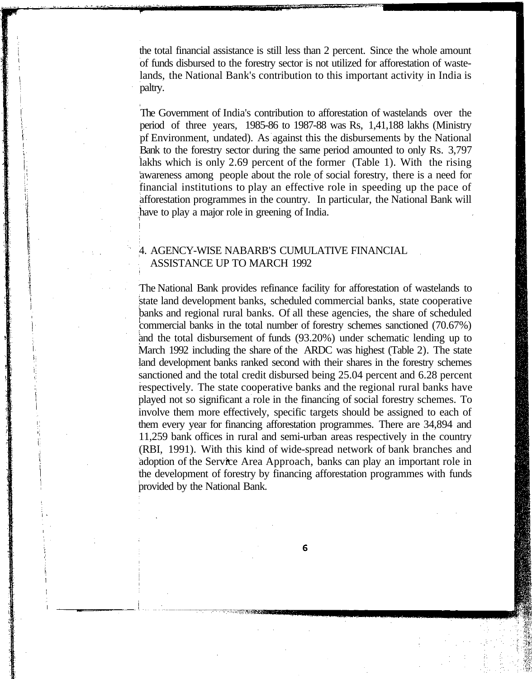the total financial assistance is still less than 2 percent. Since the whole amount of funds disbursed to the forestry sector is not utilized for afforestation of wastelands, the National Bank's contribution to this important activity in India is paltry.

The Government of India's contribution to afforestation of wastelands over the period of three years, 1985-86 to 1987-88 was Rs, 1,41,188 lakhs (Ministry pf Environment, undated). As against this the disbursements by the National Bank to the forestry sector during the same period amounted to only Rs. 3,797 lakhs which is only 2.69 percent of the former (Table 1). With the rising awareness among people about the role of social forestry, there is a need for financial institutions to play an effective role in speeding up the pace of afforestation programmes in the country. In particular, the National Bank will have to play a major role in greening of India.

#### 4. AGENCY-WISE NABARB'S CUMULATIVE FINANCIAL ASSISTANCE UP TO MARCH 1992

The National Bank provides refinance facility for afforestation of wastelands to state land development banks, scheduled commercial banks, state cooperative banks and regional rural banks. Of all these agencies, the share of scheduled commercial banks in the total number of forestry schemes sanctioned (70.67%) and the total disbursement of funds (93.20%) under schematic lending up to March 1992 including the share of the ARDC was highest (Table 2). The state land development banks ranked second with their shares in the forestry schemes sanctioned and the total credit disbursed being 25.04 percent and 6.28 percent respectively. The state cooperative banks and the regional rural banks have played not so significant a role in the financing of social forestry schemes. To involve them more effectively, specific targets should be assigned to each of them every year for financing afforestation programmes. There are 34,894 and 11,259 bank offices in rural and semi-urban areas respectively in the country (RBI, 1991). With this kind of wide-spread network of bank branches and adoption of the Service Area Approach, banks can play an important role in the development of forestry by financing afforestation programmes with funds provided by the National Bank.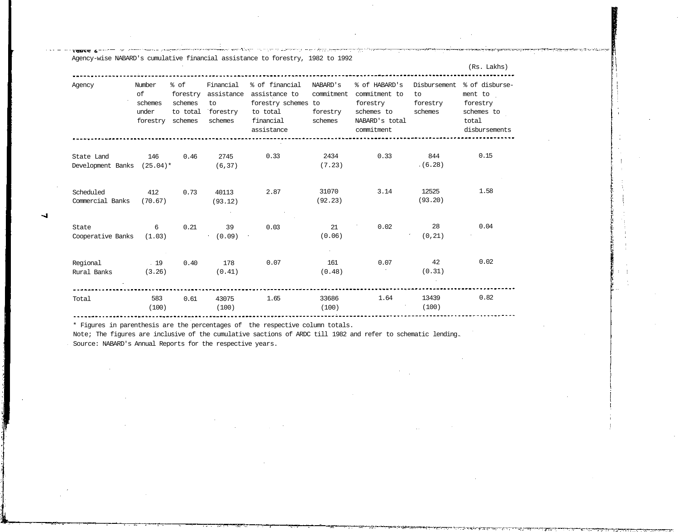|                                          |                                  |                                                 |                                                               |                                                                                                                   |                                               |                                                                                          |                                           | (Rs. Lakhs)                                                                   |
|------------------------------------------|----------------------------------|-------------------------------------------------|---------------------------------------------------------------|-------------------------------------------------------------------------------------------------------------------|-----------------------------------------------|------------------------------------------------------------------------------------------|-------------------------------------------|-------------------------------------------------------------------------------|
| Agency                                   | Number<br>of<br>schemes<br>under | % of<br>forestry<br>schemes<br>forestry schemes | Financial<br>assistance<br>to<br>to total forestry<br>schemes | % of financial NABARD's<br>assistance to commitment<br>forestry schemes to<br>to total<br>financial<br>assistance | forestry<br>schemes                           | % of HABARD's<br>commitment to<br>forestry<br>schemes to<br>NABARD's total<br>commitment | Disbursement<br>to<br>forestry<br>schemes | % of disburse-<br>ment to<br>forestry<br>schemes to<br>total<br>disbursements |
| State Land<br>Development Banks (25.04)* | 146                              | 0.46                                            | 2745<br>(6, 37)                                               | 0.33                                                                                                              | 2434<br>(7.23)                                | 0.33                                                                                     | 844<br>(6.28)                             | 0.15                                                                          |
| Scheduled<br>Commercial Banks            | 412<br>(70.67)                   | 0.73                                            | 40113<br>(93.12)                                              | 2.87                                                                                                              | 31070<br>(92.23)                              | 3.14                                                                                     | 12525<br>(93.20)                          | 1.58                                                                          |
| State<br>Cooperative Banks (1.03)        | 6                                | 0.21                                            | 39<br>(0.09)                                                  | 0.03                                                                                                              | 21<br>(0.06)                                  | 0.02                                                                                     | 28<br>(0, 21)                             | 0.04                                                                          |
| Regional<br>Rural Banks                  | .19<br>(3.26)                    | 0.40                                            | 178<br>(0.41)                                                 | 0.07                                                                                                              | 161<br>(0.48)                                 | 0.07                                                                                     | 42<br>(0.31)                              | 0.02                                                                          |
| Total                                    | 583<br>(100)                     | 0.61                                            | 43075<br>(100)                                                | 1.65                                                                                                              | 33686<br>(100)<br>and the control of the con- | 1.64                                                                                     | 13439<br>(100)                            | 0.82                                                                          |

\* Figures in parenthesis are the percentages of the respective column totals.

note *i* 

Note; The figures are inclusive of the cumulative sactions of ARDC till 1982 and refer to schematic lending. Source: NABARD's Annual Reports for the respective years.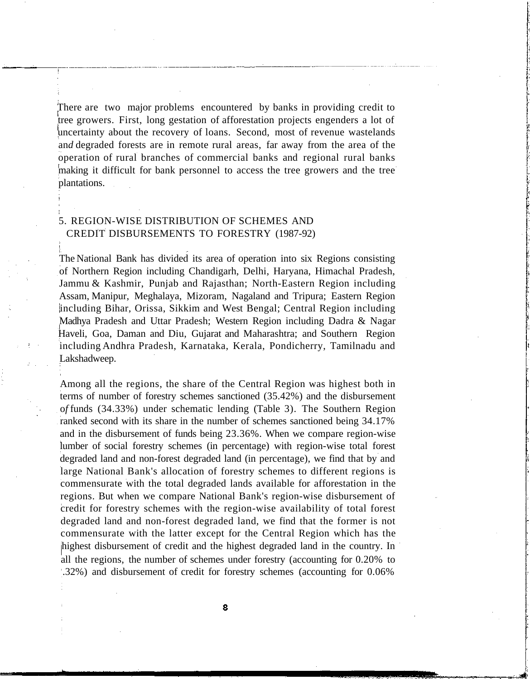There are two major problems encountered by banks in providing credit to tree growers. First, long gestation of afforestation projects engenders a lot of uncertainty about the recovery of loans. Second, most of revenue wastelands an*d* degraded forests are in remote rural areas, far away from the area of the operation of rural branches of commercial banks and regional rural banks making it difficult for bank personnel to access the tree growers and the tree plantations.

#### 5. REGION-WISE DISTRIBUTION OF SCHEMES AND CREDIT DISBURSEMENTS TO FORESTRY (1987-92)

The National Bank has divided its area of operation into six Regions consisting of Northern Region including Chandigarh, Delhi, Haryana, Himachal Pradesh, Jammu & Kashmir, Punjab and Rajasthan; North-Eastern Region including Assam, Manipur, Meghalaya, Mizoram, Nagaland and Tripura; Eastern Region including Bihar, Orissa, Sikkim and West Bengal; Central Region including Madhya Pradesh and Uttar Pradesh; Western Region including Dadra & Nagar Haveli, Goa, Daman and Diu, Gujarat and Maharashtra; and Southern Region including Andhra Pradesh, Karnataka, Kerala, Pondicherry, Tamilnadu and Lakshadweep.

Among all the regions, the share of the Central Region was highest both in terms of number of forestry schemes sanctioned (35.42%) and the disbursement o*f* funds (34.33%) under schematic lending (Table 3). The Southern Region ranked second with its share in the number of schemes sanctioned being 34.17% and in the disbursement of funds being 23.36%. When we compare region-wise lumber of social forestry schemes (in percentage) with region-wise total forest degraded land and non-forest degraded land (in percentage), we find that by and large National Bank's allocation of forestry schemes to different regions is commensurate with the total degraded lands available for afforestation in the regions. But when we compare National Bank's region-wise disbursement of credit for forestry schemes with the region-wise availability of total forest degraded land and non-forest degraded land, we find that the former is not commensurate with the latter except for the Central Region which has the highest disbursement of credit and the highest degraded land in the country. In all the regions, the number of schemes under forestry (accounting for 0.20% to .32%) and disbursement of credit for forestry schemes (accounting for 0.06%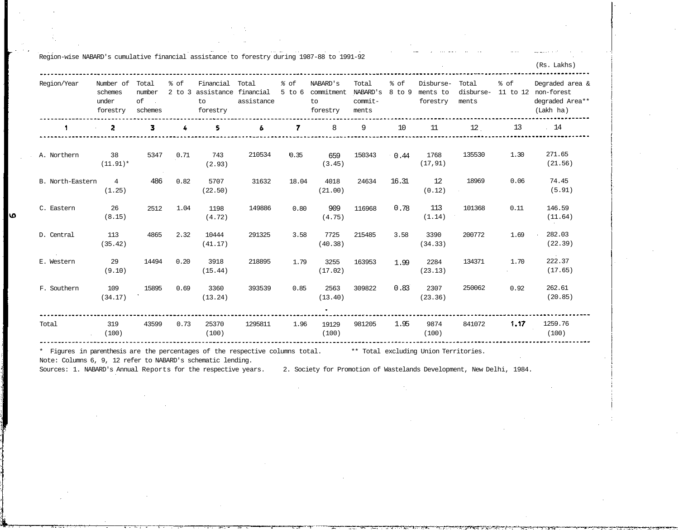|                  |                                           |                                                   |                    |                                                     |                     |                    |                                          |                                       |                |                                   |                             |                              | (Rs. Lakhs)                                                   |
|------------------|-------------------------------------------|---------------------------------------------------|--------------------|-----------------------------------------------------|---------------------|--------------------|------------------------------------------|---------------------------------------|----------------|-----------------------------------|-----------------------------|------------------------------|---------------------------------------------------------------|
| Region/Year      | Number of<br>schemes<br>under<br>forestry | Total<br>number<br>of<br>$\sim$ $\sim$<br>schemes | % of<br>$2$ to $3$ | Financial<br>assistance financial<br>to<br>forestry | Total<br>assistance | % of<br>$5$ to $6$ | NABARD's<br>commitment<br>to<br>forestry | Total<br>NABARD'S<br>commit-<br>ments | % of<br>8 to 9 | Disburse-<br>ments to<br>forestry | Total<br>disburse-<br>ments | % of<br>11 to 12             | Degraded area &<br>non-forest<br>degraded Area**<br>(Lakh ha) |
|                  | 2                                         | 3                                                 | 4                  | 5.                                                  | 6                   | 7                  | 8                                        | 9                                     | 10             | 11                                | 12                          | 13                           | $\frac{14}{2}$                                                |
| A. Northern      | 38<br>$(11.91)^*$                         | 5347                                              | 0.71               | 743<br>(2.93)                                       | 210534              | 10.35              | 659<br>(3.45)                            | 150343                                | 0.44           | 1768<br>(17, 91)                  | 135530                      | 1.30                         | 271.65<br>(21.56)                                             |
| B. North-Eastern | $\overline{4}$<br>(1.25)                  | 486                                               | 0.82               | 5707<br>(22.50)                                     | 31632               | 18.04              | 4018<br>(21.00)                          | 24634                                 | 16.31          | 12<br>(0.12)                      | 18969                       | 0.06                         | 74.45<br>(5.91)                                               |
| C. Eastern       | 26<br>(8.15)                              | 2512                                              | 1.04               | 1198<br>(4.72)                                      | 149886              | 0.80               | 909<br>(4.75)                            | 116968                                | 0.78           | 113<br>(1.14)                     | 101368                      | 0.11                         | 146.59<br>(11.64)                                             |
| D. Central       | 113<br>(35.42)                            | 4865                                              | 2:32               | 10444<br>(41.17)                                    | 291325              | 3.58               | 7725<br>(40.38)                          | 215485                                | 3.58           | 3390<br>(34.33)                   | 200772                      | 1.69                         | 282.03<br>(22.39)                                             |
| E. Western       | 29<br>(9.10)                              | 14494                                             | 0.20               | 3918<br>(15.44)                                     | 218895              | 1.79               | 3255<br>(17.02)                          | 163953                                | 1.99           | 2284<br>(23.13)                   | 134371                      | 1.70<br>$\ddot{\phantom{a}}$ | $\sim$ $-$<br>222.37<br>(17.65)                               |
| F. Southern      | 109<br>(34.17)                            | 15895                                             | 0.69               | 3360<br>(13.24)                                     | 393539              | 0.85               | 2563<br>(13.40)<br>٠                     | 309822                                | 0.83           | 2307<br>(23.36)                   | 250062                      | 0.92                         | 262.61<br>(20.85)                                             |
| Total            | 319<br>(100)                              | 43599                                             | 0.73               | 25370<br>(100)                                      | 1295811             | 1.96               | 19129<br>(100)                           | 981205                                | 1.95           | 9874<br>(100)                     | 841072                      | 1,17                         | 1259.76<br>(100)                                              |

\* Figures in parenthesis are the percentages of the respective columns total. \*\* Total excluding Union Territories.

Note: Columns 6, 9, 12 refer to NABARD's schematic lending.

Region-wise NABARD's cumulative financial assistance to forestry during 1987-88 to 1991-92

ما

Sources: 1. NABARD's Annual Reports for the respective years. 2. Society for Promotion of Wastelands Development, New Delhi, 1984.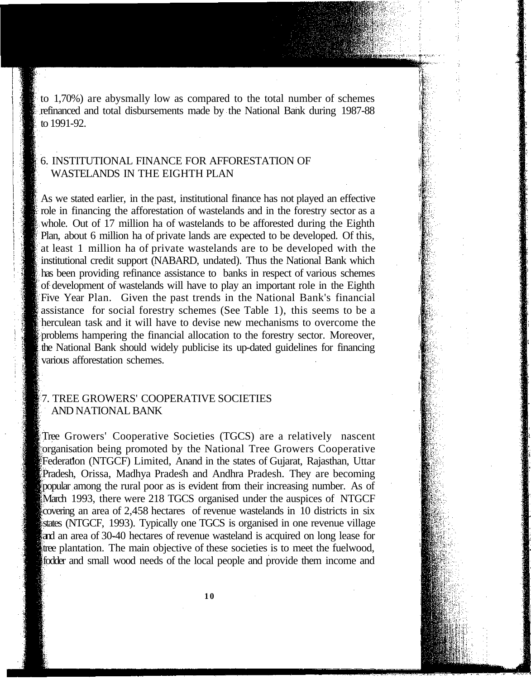to 1,70%) are abysmally low as compared to the total number of schemes refinanced and total disbursements made by the National Bank during 1987-88 to 1991-92.

## 6. INSTITUTIONAL FINANCE FOR AFFORESTATION OF WASTELANDS IN THE EIGHTH PLAN

As we stated earlier, in the past, institutional finance has not played an effective role in financing the afforestation of wastelands and in the forestry sector as a whole. Out of 17 million ha of wastelands to be afforested during the Eighth Plan, about 6 million ha of private lands are expected to be developed. Of this, at least 1 million ha of private wastelands are to be developed with the institutional credit support (NABARD, undated). Thus the National Bank which has been providing refinance assistance to banks in respect of various schemes of development of wastelands will have to play an important role in the Eighth Five Year Plan. Given the past trends in the National Bank's financial assistance for social forestry schemes (See Table 1), this seems to be a herculean task and it will have to devise new mechanisms to overcome the problems hampering the financial allocation to the forestry sector. Moreover, the National Bank should widely publicise its up-dated guidelines for financing various afforestation schemes.

#### 7. TREE GROWERS' COOPERATIVE SOCIETIES AND NATIONAL BANK

Tree Growers' Cooperative Societies (TGCS) are a relatively nascent organisation being promoted by the National Tree Growers Cooperative Federation (NTGCF) Limited, Anand in the states of Gujarat, Rajasthan, Uttar Pradesh, Orissa, Madhya Pradesh and Andhra Pradesh. They are becoming popular among the rural poor as is evident from their increasing number. As of March 1993, there were 218 TGCS organised under the auspices of NTGCF covering an area of 2,458 hectares of revenue wastelands in 10 districts in six states (NTGCF, 1993). Typically one TGCS is organised in one revenue village and an area of 30-40 hectares of revenue wasteland is acquired on long lease for tree plantation. The main objective of these societies is to meet the fuelwood, fodder and small wood needs of the local people and provide them income and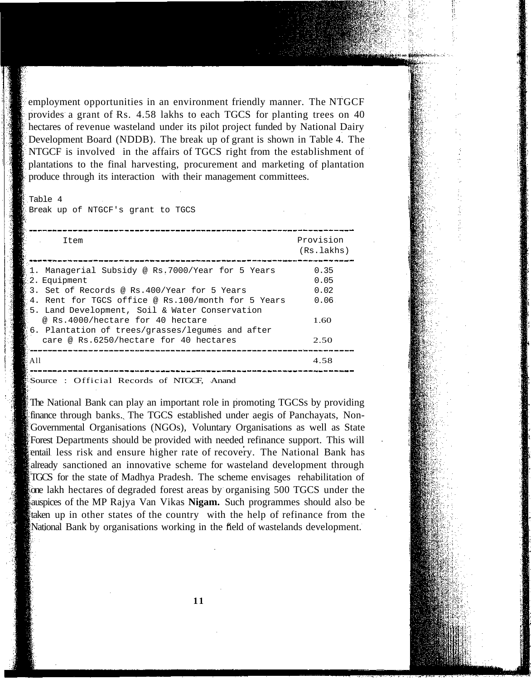employment opportunities in an environment friendly manner. The NTGCF provides a grant of Rs. 4.58 lakhs to each TGCS for planting trees on 40 hectares of revenue wasteland under its pilot project funded by National Dairy Development Board (NDDB). The break up of grant is shown in Table 4. The NTGCF is involved in the affairs of TGCS right from the establishment of plantations to the final harvesting, procurement and marketing of plantation produce through its interaction with their management committees.

### Table 4

Break up of NTGCF's grant to TGCS

| Item                                                                                                                                                                                                                                                               | Provision<br>(Rs, lakhs)             |
|--------------------------------------------------------------------------------------------------------------------------------------------------------------------------------------------------------------------------------------------------------------------|--------------------------------------|
| 1. Managerial Subsidy @ Rs.7000/Year for 5 Years<br>2. Equipment<br>$\,$ 3. Set of Records @ Rs.400/Year for 5 Years<br>:4. Rent for TGCS office @ Rs.100/month for 5 Years<br>!5. Land Development, Soil & Water Conservation<br>@ Rs.4000/hectare for 40 hectare | 0.35<br>0.05<br>0.02<br>0.06<br>1.60 |
| § 6. Plantation of trees/grasses/legumes and after<br>care @ Rs.6250/hectare for 40 hectares<br>All                                                                                                                                                                | 2.50<br>4.58                         |

Source : Official Records of NTGCF, Anand

The National Bank can play an important role in promoting TGCSs by providing finance through banks. The TGCS established under aegis of Panchayats, Non-Governmental Organisations (NGOs), Voluntary Organisations as well as State Forest Departments should be provided with needed refinance support. This will entail less risk and ensure higher rate of recovery. The National Bank has already sanctioned an innovative scheme for wasteland development through TGCS for the state of Madhya Pradesh. The scheme envisages rehabilitation of one lakh hectares of degraded forest areas by organising 500 TGCS under the auspices of the MP Rajya Van Vikas **Nigam.** Such programmes should also be taken up in other states of the country with the help of refinance from the National Bank by organisations working in the field of wastelands development.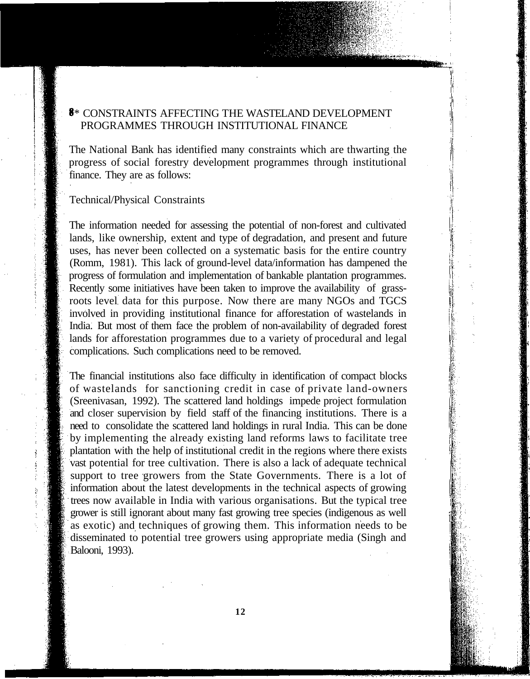# **8**\* CONSTRAINTS AFFECTING THE WASTELAND DEVELOPMENT PROGRAMMES THROUGH INSTITUTIONAL FINANCE

The National Bank has identified many constraints which are thwarting the progress of social forestry development programmes through institutional finance. They are as follows:

#### Technical/Physical Constraints

The information needed for assessing the potential of non-forest and cultivated lands, like ownership, extent and type of degradation, and present and future uses, has never been collected on a systematic basis for the entire country (Romm, 1981). This lack of ground-level data/information has dampened the progress of formulation and implementation of bankable plantation programmes. Recently some initiatives have been taken to improve the availability of grassroots level data for this purpose. Now there are many NGOs and TGCS involved in providing institutional finance for afforestation of wastelands in India. But most of them face the problem of non-availability of degraded forest lands for afforestation programmes due to a variety of procedural and legal complications. Such complications need to be removed.

The financial institutions also face difficulty in identification of compact blocks of wastelands for sanctioning credit in case of private land-owners (Sreenivasan, 1992). The scattered land holdings impede project formulation and closer supervision by field staff of the financing institutions. There is a need to consolidate the scattered land holdings in rural India. This can be done by implementing the already existing land reforms laws to facilitate tree plantation with the help of institutional credit in the regions where there exists vast potential for tree cultivation. There is also a lack of adequate technical support to tree growers from the State Governments. There is a lot of information about the latest developments in the technical aspects of growing trees now available in India with various organisations. But the typical tree grower is still ignorant about many fast growing tree species (indigenous as well as exotic) and techniques of growing them. This information needs to be disseminated to potential tree growers using appropriate media (Singh and Balooni, 1993).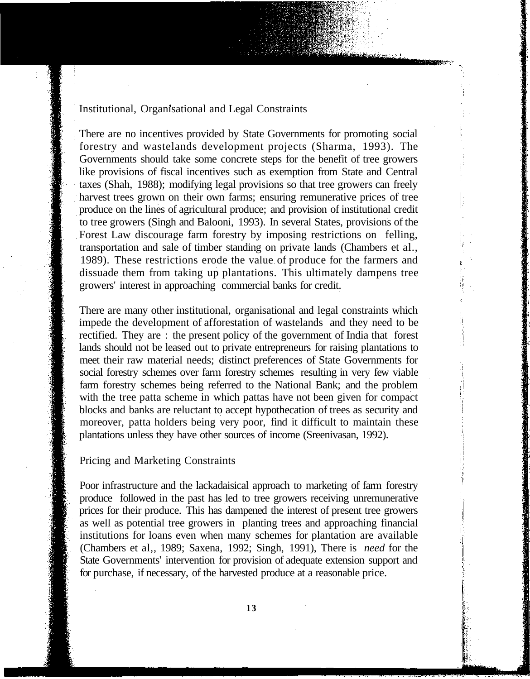#### Institutional, Organisational and Legal Constraints

There are no incentives provided by State Governments for promoting social forestry and wastelands development projects (Sharma, 1993). The Governments should take some concrete steps for the benefit of tree growers like provisions of fiscal incentives such as exemption from State and Central taxes (Shah, 1988); modifying legal provisions so that tree growers can freely harvest trees grown on their own farms; ensuring remunerative prices of tree produce on the lines of agricultural produce; and provision of institutional credit to tree growers (Singh and Balooni, 1993). In several States, provisions of the Forest Law discourage farm forestry by imposing restrictions on felling, transportation and sale of timber standing on private lands (Chambers et al., 1989). These restrictions erode the value of produce for the farmers and dissuade them from taking up plantations. This ultimately dampens tree growers' interest in approaching commercial banks for credit.

There are many other institutional, organisational and legal constraints which impede the development of afforestation of wastelands and they need to be rectified. They are : the present policy of the government of India that forest lands should not be leased out to private entrepreneurs for raising plantations to meet their raw material needs; distinct preferences of State Governments for social forestry schemes over farm forestry schemes resulting in very few viable farm forestry schemes being referred to the National Bank; and the problem with the tree patta scheme in which pattas have not been given for compact blocks and banks are reluctant to accept hypothecation of trees as security and moreover, patta holders being very poor, find it difficult to maintain these plantations unless they have other sources of income (Sreenivasan, 1992).

#### Pricing and Marketing Constraints

Poor infrastructure and the lackadaisical approach to marketing of farm forestry produce followed in the past has led to tree growers receiving unremunerative prices for their produce. This has dampened the interest of present tree growers as well as potential tree growers in planting trees and approaching financial institutions for loans even when many schemes for plantation are available (Chambers et al,, 1989; Saxena, 1992; Singh, 1991), There is *need* for the State Governments' intervention for provision of adequate extension support and for purchase, if necessary, of the harvested produce at a reasonable price.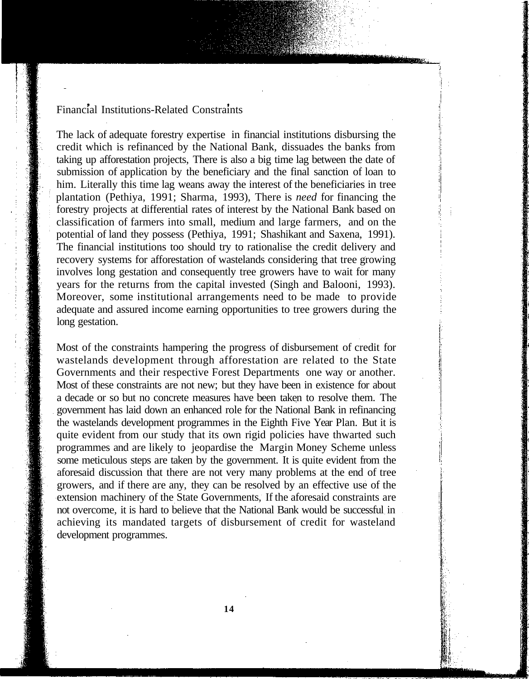## Financial Institutions-Related Constraints

The lack of adequate forestry expertise in financial institutions disbursing the credit which is refinanced by the National Bank, dissuades the banks from taking up afforestation projects, There is also a big time lag between the date of submission of application by the beneficiary and the final sanction of loan to him. Literally this time lag weans away the interest of the beneficiaries in tree plantation (Pethiya, 1991; Sharma, 1993), There is *need* for financing the forestry projects at differential rates of interest by the National Bank based on classification of farmers into small, medium and large farmers, and on the potential of land they possess (Pethiya, 1991; Shashikant and Saxena, 1991). The financial institutions too should try to rationalise the credit delivery and recovery systems for afforestation of wastelands considering that tree growing involves long gestation and consequently tree growers have to wait for many years for the returns from the capital invested (Singh and Balooni, 1993). Moreover, some institutional arrangements need to be made to provide adequate and assured income earning opportunities to tree growers during the long gestation.

Most of the constraints hampering the progress of disbursement of credit for wastelands development through afforestation are related to the State Governments and their respective Forest Departments one way or another. Most of these constraints are not new; but they have been in existence for about a decade or so but no concrete measures have been taken to resolve them. The government has laid down an enhanced role for the National Bank in refinancing the wastelands development programmes in the Eighth Five Year Plan. But it is quite evident from our study that its own rigid policies have thwarted such programmes and are likely to jeopardise the Margin Money Scheme unless some meticulous steps are taken by the government. It is quite evident from the aforesaid discussion that there are not very many problems at the end of tree growers, and if there are any, they can be resolved by an effective use of the extension machinery of the State Governments, If the aforesaid constraints are not overcome, it is hard to believe that the National Bank would be successful in achieving its mandated targets of disbursement of credit for wasteland development programmes.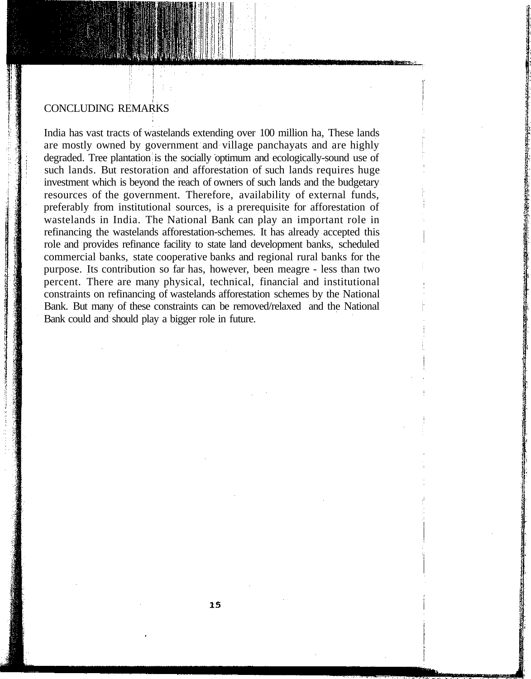#### CONCLUDING REMARKS

India has vast tracts of wastelands extending over 100 million ha, These lands are mostly owned by government and village panchayats and are highly degraded. Tree plantation is the socially optimum and ecologically-sound use of such lands. But restoration and afforestation of such lands requires huge investment which is beyond the reach of owners of such lands and the budgetary resources of the government. Therefore, availability of external funds, preferably from institutional sources, is a prerequisite for afforestation of wastelands in India. The National Bank can play an important role in refinancing the wastelands afforestation-schemes. It has already accepted this role and provides refinance facility to state land development banks, scheduled commercial banks, state cooperative banks and regional rural banks for the purpose. Its contribution so far has, however, been meagre - less than two percent. There are many physical, technical, financial and institutional constraints on refinancing of wastelands afforestation schemes by the National Bank. But many of these constraints can be removed/relaxed and the National Bank could and should play a bigger role in future.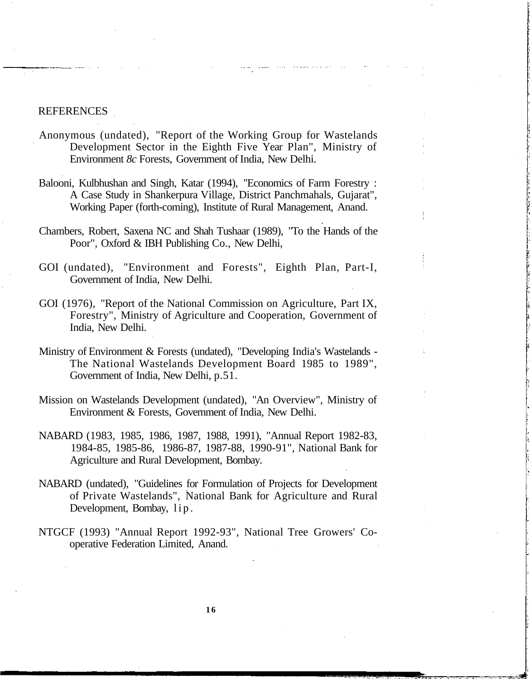#### REFERENCES

- Anonymous (undated), "Report of the Working Group for Wastelands Development Sector in the Eighth Five Year Plan", Ministry of Environment *8c* Forests, Government of India, New Delhi.
- Balooni, Kulbhushan and Singh, Katar (1994), "Economics of Farm Forestry : A Case Study in Shankerpura Village, District Panchmahals, Gujarat", Working Paper (forth-coming), Institute of Rural Management, Anand.
- Chambers, Robert, Saxena NC and Shah Tushaar (1989), "To the Hands of the Poor", Oxford & IBH Publishing Co., New Delhi,
- GOI (undated), "Environment and Forests", Eighth Plan, Part-I, Government of India, New Delhi.
- GOI (1976), "Report of the National Commission on Agriculture, Part IX, Forestry", Ministry of Agriculture and Cooperation, Government of India, New Delhi.
- Ministry of Environment & Forests (undated), "Developing India's Wastelands The National Wastelands Development Board 1985 to 1989", Government of India, New Delhi, p.51.
- Mission on Wastelands Development (undated), "An Overview", Ministry of Environment & Forests, Government of India, New Delhi.
- NABARD (1983, 1985, 1986, 1987, 1988, 1991), "Annual Report 1982-83, 1984-85, 1985-86, 1986-87, 1987-88, 1990-91", National Bank for Agriculture and Rural Development, Bombay.
- NABARD (undated), "Guidelines for Formulation of Projects for Development of Private Wastelands", National Bank for Agriculture and Rural Development, Bombay, lip .
- NTGCF (1993) "Annual Report 1992-93", National Tree Growers' Cooperative Federation Limited, Anand.